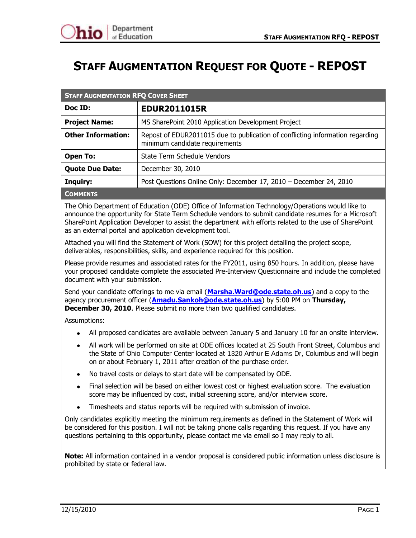# **STAFF AUGMENTATION REQUEST FOR QUOTE - REPOST**

| <b>STAFF AUGMENTATION RFQ COVER SHEET</b>                                     |                                                                                                                 |  |
|-------------------------------------------------------------------------------|-----------------------------------------------------------------------------------------------------------------|--|
| Doc ID:                                                                       | <b>EDUR2011015R</b>                                                                                             |  |
| <b>Project Name:</b><br>MS SharePoint 2010 Application Development Project    |                                                                                                                 |  |
| <b>Other Information:</b>                                                     | Repost of EDUR2011015 due to publication of conflicting information regarding<br>minimum candidate requirements |  |
| <b>Open To:</b>                                                               | State Term Schedule Vendors                                                                                     |  |
| <b>Quote Due Date:</b><br>December 30, 2010                                   |                                                                                                                 |  |
| Post Questions Online Only: December 17, 2010 - December 24, 2010<br>Inquiry: |                                                                                                                 |  |
| COMMENTS                                                                      |                                                                                                                 |  |

**COMMENTS**

The Ohio Department of Education (ODE) Office of Information Technology/Operations would like to announce the opportunity for State Term Schedule vendors to submit candidate resumes for a Microsoft SharePoint Application Developer to assist the department with efforts related to the use of SharePoint as an external portal and application development tool.

Attached you will find the Statement of Work (SOW) for this project detailing the project scope, deliverables, responsibilities, skills, and experience required for this position.

Please provide resumes and associated rates for the FY2011, using 850 hours. In addition, please have your proposed candidate complete the associated Pre-Interview Questionnaire and include the completed document with your submission.

Send your candidate offerings to me via email (**[Marsha.Ward@ode.state.oh.us](mailto:Marsha.Ward@ode.state.oh.us)**) and a copy to the agency procurement officer (**[Amadu.Sankoh@ode.state.oh.us](mailto:Amadu.Sankoh@ode.state.oh.us)**) by 5:00 PM on **Thursday, December 30, 2010**. Please submit no more than two qualified candidates.

Assumptions:

- All proposed candidates are available between January 5 and January 10 for an onsite interview.
- All work will be performed on site at ODE offices located at 25 South Front Street, Columbus and the State of Ohio Computer Center located at 1320 Arthur E Adams Dr, Columbus and will begin on or about February 1, 2011 after creation of the purchase order.
- No travel costs or delays to start date will be compensated by ODE.
- Final selection will be based on either lowest cost or highest evaluation score. The evaluation score may be influenced by cost, initial screening score, and/or interview score.
- Timesheets and status reports will be required with submission of invoice.

Only candidates explicitly meeting the minimum requirements as defined in the Statement of Work will be considered for this position. I will not be taking phone calls regarding this request. If you have any questions pertaining to this opportunity, please contact me via email so I may reply to all.

**Note:** All information contained in a vendor proposal is considered public information unless disclosure is prohibited by state or federal law.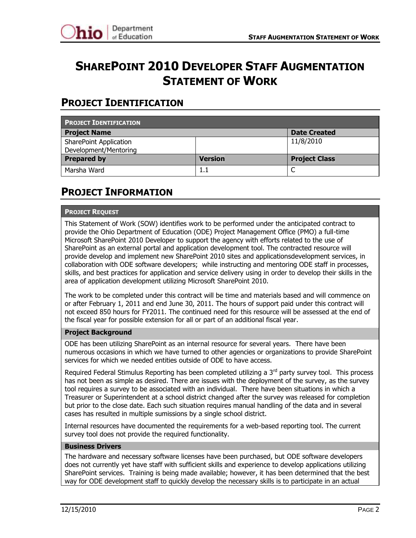

# **SHAREPOINT 2010 DEVELOPER STAFF AUGMENTATION STATEMENT OF WORK**

## **PROJECT IDENTIFICATION**

| <b>PROJECT IDENTIFICATION</b>              |                |                      |  |
|--------------------------------------------|----------------|----------------------|--|
| <b>Project Name</b><br><b>Date Created</b> |                |                      |  |
| <b>SharePoint Application</b>              |                | 11/8/2010            |  |
| Development/Mentoring                      |                |                      |  |
| <b>Prepared by</b>                         | <b>Version</b> | <b>Project Class</b> |  |
| Marsha Ward                                | 1.1            | ◡                    |  |

### **PROJECT INFORMATION**

#### **PROJECT REQUEST**

This Statement of Work (SOW) identifies work to be performed under the anticipated contract to provide the Ohio Department of Education (ODE) Project Management Office (PMO) a full-time Microsoft SharePoint 2010 Developer to support the agency with efforts related to the use of SharePoint as an external portal and application development tool. The contracted resource will provide develop and implement new SharePoint 2010 sites and applicationsdevelopment services, in collaboration with ODE software developers; while instructing and mentoring ODE staff in processes, skills, and best practices for application and service delivery using in order to develop their skills in the area of application development utilizing Microsoft SharePoint 2010.

The work to be completed under this contract will be time and materials based and will commence on or after February 1, 2011 and end June 30, 2011. The hours of support paid under this contract will not exceed 850 hours for FY2011. The continued need for this resource will be assessed at the end of the fiscal year for possible extension for all or part of an additional fiscal year.

#### **Project Background**

ODE has been utilizing SharePoint as an internal resource for several years. There have been numerous occasions in which we have turned to other agencies or organizations to provide SharePoint services for which we needed entities outside of ODE to have access.

Required Federal Stimulus Reporting has been completed utilizing a  $3<sup>rd</sup>$  party survey tool. This process has not been as simple as desired. There are issues with the deployment of the survey, as the survey tool requires a survey to be associated with an individual. There have been situations in which a Treasurer or Superintendent at a school district changed after the survey was released for completion but prior to the close date. Each such situation requires manual handling of the data and in several cases has resulted in multiple sumissions by a single school district.

Internal resources have documented the requirements for a web-based reporting tool. The current survey tool does not provide the required functionality.

#### **Business Drivers**

The hardware and necessary software licenses have been purchased, but ODE software developers does not currently yet have staff with sufficient skills and experience to develop applications utilizing SharePoint services. Training is being made available; however, it has been determined that the best way for ODE development staff to quickly develop the necessary skills is to participate in an actual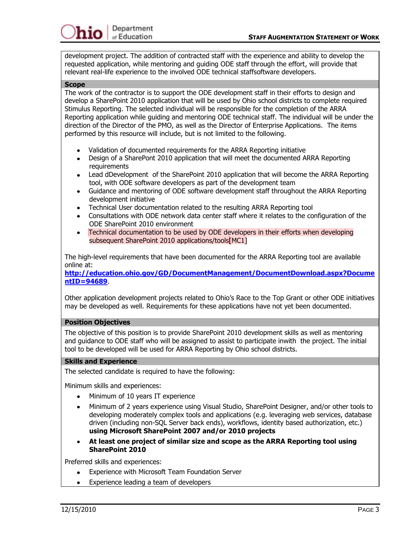development project. The addition of contracted staff with the experience and ability to develop the requested application, while mentoring and guiding ODE staff through the effort, will provide that relevant real-life experience to the involved ODE technical staffsoftware developers.

#### **Scope**

The work of the contractor is to support the ODE development staff in their efforts to design and develop a SharePoint 2010 application that will be used by Ohio school districts to complete required Stimulus Reporting. The selected individual will be responsible for the completion of the ARRA Reporting application while guiding and mentoring ODE technical staff. The individual will be under the direction of the Director of the PMO, as well as the Director of Enterprise Applications. The items performed by this resource will include, but is not limited to the following.

- Validation of documented requirements for the ARRA Reporting initiative
- Design of a SharePont 2010 application that will meet the documented ARRA Reporting requirements
- Lead dDevelopment of the SharePoint 2010 application that will become the ARRA Reporting tool, with ODE software developers as part of the development team
- Guidance and mentoring of ODE software development staff throughout the ARRA Reporting development initiative
- Technical User documentation related to the resulting ARRA Reporting tool
- Consultations with ODE network data center staff where it relates to the configuration of the ODE SharePoint 2010 environment
- Technical documentation to be used by ODE developers in their efforts when developing  $\bullet$ subsequent SharePoint 2010 applications/tools<sup>[MC1]</sup>

The high-level requirements that have been documented for the ARRA Reporting tool are available online at:

**[http://education.ohio.gov/GD/DocumentManagement/DocumentDownload.aspx?Docume](http://education.ohio.gov/GD/DocumentManagement/DocumentDownload.aspx?DocumentID=94689) [ntID=94689](http://education.ohio.gov/GD/DocumentManagement/DocumentDownload.aspx?DocumentID=94689)**.

Other application development projects related to Ohio's Race to the Top Grant or other ODE initiatives may be developed as well. Requirements for these applications have not yet been documented.

#### **Position Objectives**

The objective of this position is to provide SharePoint 2010 development skills as well as mentoring and guidance to ODE staff who will be assigned to assist to participate inwith the project. The initial tool to be developed will be used for ARRA Reporting by Ohio school districts.

#### **Skills and Experience**

The selected candidate is required to have the following:

Minimum skills and experiences:

- Minimum of 10 years IT experience
- Minimum of 2 years experience using Visual Studio, SharePoint Designer, and/or other tools to developing moderately complex tools and applications (e.g. leveraging web services, database driven (including non-SQL Server back ends), workflows, identity based authorization, etc.) **using Microsoft SharePoint 2007 and/or 2010 projects**
- **At least one project of similar size and scope as the ARRA Reporting tool using SharePoint 2010**

Preferred skills and experiences:

- Experience with Microsoft Team Foundation Server  $\bullet$
- Experience leading a team of developers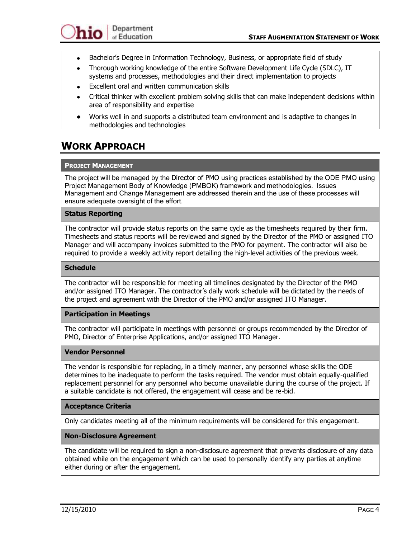- Bachelor's Degree in Information Technology, Business, or appropriate field of study  $\bullet$
- Thorough working knowledge of the entire Software Development Life Cycle (SDLC), IT  $\bullet$ systems and processes, methodologies and their direct implementation to projects
- Excellent oral and written communication skills
- Critical thinker with excellent problem solving skills that can make independent decisions within area of responsibility and expertise
- Works well in and supports a distributed team environment and is adaptive to changes in methodologies and technologies

## **WORK APPROACH**

### **PROJECT MANAGEMENT**

The project will be managed by the Director of PMO using practices established by the ODE PMO using Project Management Body of Knowledge (PMBOK) framework and methodologies. Issues Management and Change Management are addressed therein and the use of these processes will ensure adequate oversight of the effort.

#### **Status Reporting**

The contractor will provide status reports on the same cycle as the timesheets required by their firm. Timesheets and status reports will be reviewed and signed by the Director of the PMO or assigned ITO Manager and will accompany invoices submitted to the PMO for payment. The contractor will also be required to provide a weekly activity report detailing the high-level activities of the previous week.

#### **Schedule**

The contractor will be responsible for meeting all timelines designated by the Director of the PMO and/or assigned ITO Manager. The contractor's daily work schedule will be dictated by the needs of the project and agreement with the Director of the PMO and/or assigned ITO Manager.

### **Participation in Meetings**

The contractor will participate in meetings with personnel or groups recommended by the Director of PMO, Director of Enterprise Applications, and/or assigned ITO Manager.

#### **Vendor Personnel**

The vendor is responsible for replacing, in a timely manner, any personnel whose skills the ODE determines to be inadequate to perform the tasks required. The vendor must obtain equally-qualified replacement personnel for any personnel who become unavailable during the course of the project. If a suitable candidate is not offered, the engagement will cease and be re-bid.

#### **Acceptance Criteria**

Only candidates meeting all of the minimum requirements will be considered for this engagement.

### **Non-Disclosure Agreement**

The candidate will be required to sign a non-disclosure agreement that prevents disclosure of any data obtained while on the engagement which can be used to personally identify any parties at anytime either during or after the engagement.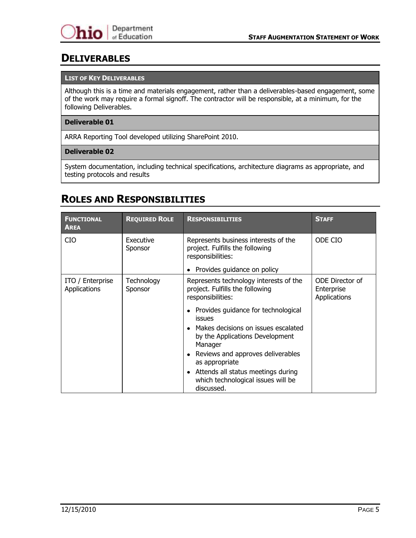### **DELIVERABLES**

#### **LIST OF KEY DELIVERABLES**

Although this is a time and materials engagement, rather than a deliverables-based engagement, some of the work may require a formal signoff. The contractor will be responsible, at a minimum, for the following Deliverables.

#### **Deliverable 01**

ARRA Reporting Tool developed utilizing SharePoint 2010.

#### **Deliverable 02**

System documentation, including technical specifications, architecture diagrams as appropriate, and testing protocols and results

### **ROLES AND RESPONSIBILITIES**

| <b>FUNCTIONAL</b><br><b>AREA</b>        | <b>REQUIRED ROLE</b>  | <b>RESPONSIBILITIES</b>                                                                                                                                                          | <b>STAFF</b>                                         |
|-----------------------------------------|-----------------------|----------------------------------------------------------------------------------------------------------------------------------------------------------------------------------|------------------------------------------------------|
| <b>CIO</b>                              | Executive<br>Sponsor  | Represents business interests of the<br>project. Fulfills the following<br>responsibilities:                                                                                     | ODE CIO                                              |
|                                         |                       | Provides guidance on policy                                                                                                                                                      |                                                      |
| ITO / Enterprise<br><b>Applications</b> | Technology<br>Sponsor | Represents technology interests of the<br>project. Fulfills the following<br>responsibilities:                                                                                   | ODE Director of<br>Enterprise<br><b>Applications</b> |
|                                         |                       | • Provides guidance for technological<br><b>issues</b><br>Makes decisions on issues escalated<br>by the Applications Development<br>Manager<br>Reviews and approves deliverables |                                                      |
|                                         |                       | as appropriate<br>Attends all status meetings during<br>which technological issues will be<br>discussed.                                                                         |                                                      |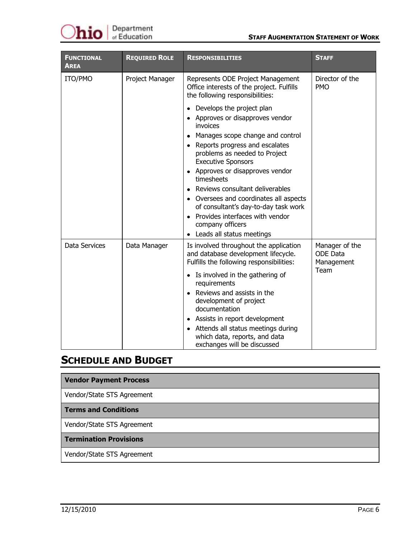

| <b>FUNCTIONAL</b><br><b>AREA</b> | <b>REQUIRED ROLE</b> | <b>RESPONSIBILITIES</b>                                                                                                                                                                                                                                                                                                                                                                                                                                                            | <b>STAFF</b>                                            |
|----------------------------------|----------------------|------------------------------------------------------------------------------------------------------------------------------------------------------------------------------------------------------------------------------------------------------------------------------------------------------------------------------------------------------------------------------------------------------------------------------------------------------------------------------------|---------------------------------------------------------|
| ITO/PMO                          | Project Manager      | Director of the<br>Represents ODE Project Management<br>Office interests of the project. Fulfills<br><b>PMO</b><br>the following responsibilities:                                                                                                                                                                                                                                                                                                                                 |                                                         |
|                                  |                      | • Develops the project plan<br>• Approves or disapproves vendor<br>invoices<br>• Manages scope change and control<br>• Reports progress and escalates<br>problems as needed to Project<br><b>Executive Sponsors</b><br>• Approves or disapproves vendor<br>timesheets<br>• Reviews consultant deliverables<br>• Oversees and coordinates all aspects<br>of consultant's day-to-day task work<br>• Provides interfaces with vendor<br>company officers<br>Leads all status meetings |                                                         |
| Data Services                    | Data Manager         | Is involved throughout the application<br>and database development lifecycle.<br>Fulfills the following responsibilities:<br>• Is involved in the gathering of<br>requirements<br>• Reviews and assists in the<br>development of project<br>documentation<br>• Assists in report development<br>• Attends all status meetings during<br>which data, reports, and data<br>exchanges will be discussed                                                                               | Manager of the<br><b>ODE Data</b><br>Management<br>Team |

### **SCHEDULE AND BUDGET**

### **Vendor Payment Process**

Vendor/State STS Agreement

#### **Terms and Conditions**

Vendor/State STS Agreement

#### **Termination Provisions**

Vendor/State STS Agreement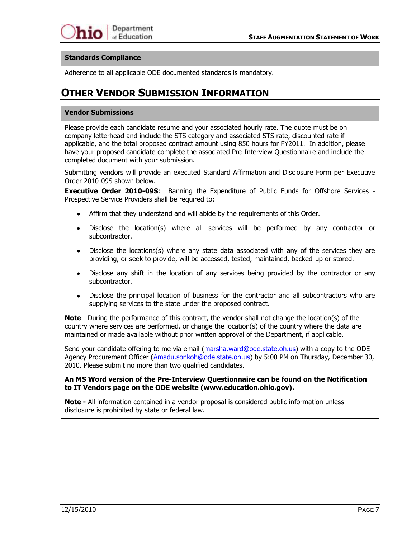### **Standards Compliance**

Adherence to all applicable ODE documented standards is mandatory.

## **OTHER VENDOR SUBMISSION INFORMATION**

#### **Vendor Submissions**

Please provide each candidate resume and your associated hourly rate. The quote must be on company letterhead and include the STS category and associated STS rate, discounted rate if applicable, and the total proposed contract amount using 850 hours for FY2011. In addition, please have your proposed candidate complete the associated Pre-Interview Questionnaire and include the completed document with your submission.

Submitting vendors will provide an executed Standard Affirmation and Disclosure Form per Executive Order 2010-09S shown below.

**Executive Order 2010-09S**: Banning the Expenditure of Public Funds for Offshore Services - Prospective Service Providers shall be required to:

- Affirm that they understand and will abide by the requirements of this Order.
- Disclose the location(s) where all services will be performed by any contractor or subcontractor.
- Disclose the locations(s) where any state data associated with any of the services they are providing, or seek to provide, will be accessed, tested, maintained, backed-up or stored.
- Disclose any shift in the location of any services being provided by the contractor or any subcontractor.
- Disclose the principal location of business for the contractor and all subcontractors who are supplying services to the state under the proposed contract.

**Note** - During the performance of this contract, the vendor shall not change the location(s) of the country where services are performed, or change the location(s) of the country where the data are maintained or made available without prior written approval of the Department, if applicable.

Send your candidate offering to me via email [\(marsha.ward@ode.state.oh.us\)](mailto:marsha.ward@ode.state.oh.us) with a copy to the ODE Agency Procurement Officer [\(Amadu.sonkoh@ode.state.oh.us\)](mailto:Amadu.sonkoh@ode.state.oh.us) by 5:00 PM on Thursday, December 30, 2010. Please submit no more than two qualified candidates.

#### **An MS Word version of the Pre-Interview Questionnaire can be found on the Notification to IT Vendors page on the ODE website (www.education.ohio.gov).**

**Note -** All information contained in a vendor proposal is considered public information unless disclosure is prohibited by state or federal law.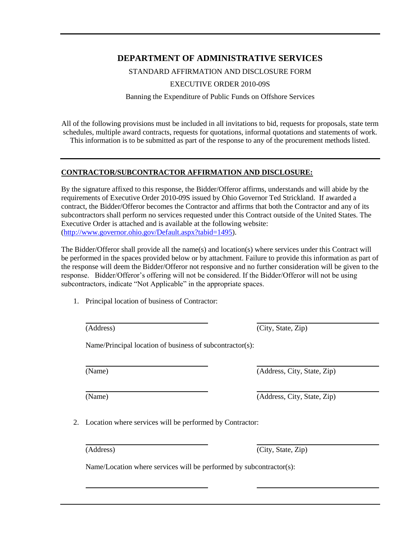### **DEPARTMENT OF ADMINISTRATIVE SERVICES**

STANDARD AFFIRMATION AND DISCLOSURE FORM

EXECUTIVE ORDER 2010-09S

Banning the Expenditure of Public Funds on Offshore Services

All of the following provisions must be included in all invitations to bid, requests for proposals, state term schedules, multiple award contracts, requests for quotations, informal quotations and statements of work. This information is to be submitted as part of the response to any of the procurement methods listed.

### **CONTRACTOR/SUBCONTRACTOR AFFIRMATION AND DISCLOSURE:**

By the signature affixed to this response, the Bidder/Offeror affirms, understands and will abide by the requirements of Executive Order 2010-09S issued by Ohio Governor Ted Strickland. If awarded a contract, the Bidder/Offeror becomes the Contractor and affirms that both the Contractor and any of its subcontractors shall perform no services requested under this Contract outside of the United States. The Executive Order is attached and is available at the following website: [\(http://www.governor.ohio.gov/Default.aspx?tabid=1495\)](http://www.governor.ohio.gov/Default.aspx?tabid=1495).

The Bidder/Offeror shall provide all the name(s) and location(s) where services under this Contract will be performed in the spaces provided below or by attachment. Failure to provide this information as part of the response will deem the Bidder/Offeror not responsive and no further consideration will be given to the response. Bidder/Offeror's offering will not be considered. If the Bidder/Offeror will not be using subcontractors, indicate "Not Applicable" in the appropriate spaces.

1. Principal location of business of Contractor:

(Address) (City, State, Zip)

Name/Principal location of business of subcontractor(s):

(Name) (Address, City, State, Zip)

(Name) (Address, City, State, Zip)

2. Location where services will be performed by Contractor:

(Address) (City, State, Zip)

Name/Location where services will be performed by subcontractor(s):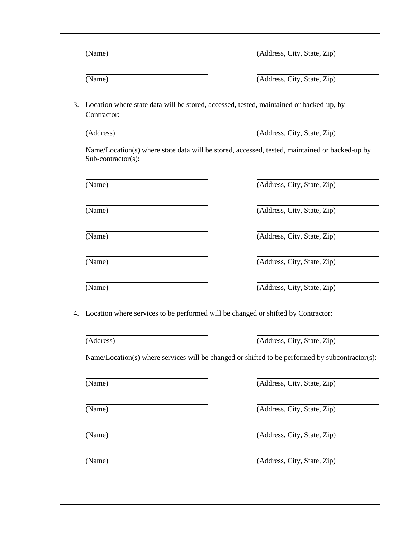| (Address)             | (Address, City, State, Zip)                                                                     |
|-----------------------|-------------------------------------------------------------------------------------------------|
| $Sub-contractor(s)$ : | Name/Location(s) where state data will be stored, accessed, tested, maintained or backed-up by  |
| (Name)                | (Address, City, State, Zip)                                                                     |
| (Name)                | (Address, City, State, Zip)                                                                     |
| (Name)                | (Address, City, State, Zip)                                                                     |
| (Name)                | (Address, City, State, Zip)                                                                     |
| (Name)                | (Address, City, State, Zip)                                                                     |
|                       | Location where services to be performed will be changed or shifted by Contractor:               |
| (Address)             | (Address, City, State, Zip)                                                                     |
|                       | Name/Location(s) where services will be changed or shifted to be performed by subcontractor(s): |
| (Name)                | (Address, City, State, Zip)                                                                     |

(Name) (Address, City, State, Zip)

3. Location where state data will be stored, accessed, tested, maintained or backed-up, by

(Name) (Address, City, State, Zip)

(Name) (Address, City, State, Zip)

(Name) (Address, City, State, Zip)

Contractor:

(Name) (Address, City, State, Zip)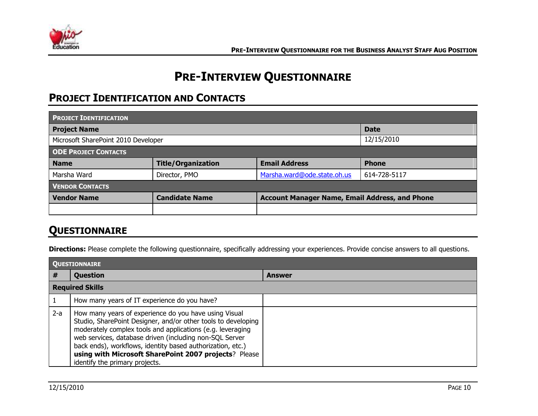

# **PRE-INTERVIEW QUESTIONNAIRE**

# **PROJECT IDENTIFICATION AND CONTACTS**

| <b>PROJECT IDENTIFICATION</b>                     |                           |                                                       |              |
|---------------------------------------------------|---------------------------|-------------------------------------------------------|--------------|
| <b>Project Name</b>                               |                           |                                                       | <b>Date</b>  |
| 12/15/2010<br>Microsoft SharePoint 2010 Developer |                           |                                                       |              |
| <b>ODE PROJECT CONTACTS</b>                       |                           |                                                       |              |
| <b>Name</b>                                       | <b>Title/Organization</b> | <b>Email Address</b>                                  | <b>Phone</b> |
| Marsha Ward                                       | Director, PMO             | Marsha.ward@ode.state.oh.us                           | 614-728-5117 |
| <b>VENDOR CONTACTS</b>                            |                           |                                                       |              |
| <b>Vendor Name</b>                                | <b>Candidate Name</b>     | <b>Account Manager Name, Email Address, and Phone</b> |              |
|                                                   |                           |                                                       |              |

## **QUESTIONNAIRE**

**Directions:** Please complete the following questionnaire, specifically addressing your experiences. Provide concise answers to all questions.

|       | <b>QUESTIONNAIRE</b>                                                                                                                                                                                                                                                                                                                                                                                     |        |  |  |
|-------|----------------------------------------------------------------------------------------------------------------------------------------------------------------------------------------------------------------------------------------------------------------------------------------------------------------------------------------------------------------------------------------------------------|--------|--|--|
| #     | Question                                                                                                                                                                                                                                                                                                                                                                                                 | Answer |  |  |
|       | <b>Required Skills</b>                                                                                                                                                                                                                                                                                                                                                                                   |        |  |  |
|       | How many years of IT experience do you have?                                                                                                                                                                                                                                                                                                                                                             |        |  |  |
| $2-a$ | How many years of experience do you have using Visual<br>Studio, SharePoint Designer, and/or other tools to developing<br>moderately complex tools and applications (e.g. leveraging<br>web services, database driven (including non-SQL Server<br>back ends), workflows, identity based authorization, etc.)<br>using with Microsoft SharePoint 2007 projects? Please<br>identify the primary projects. |        |  |  |